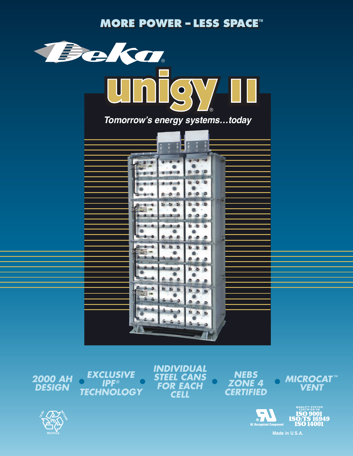**MORE POWER - LESS SPACE** 



**2000 AH DESIGN** 

**EXCLUSIVE**  $\bigodot$ **IPF® TECHNOLOGY**  **INDIVIDUAL STEEL CANS FOR EACH CELL** 



 $\bullet$ 







Made in U.S.A.